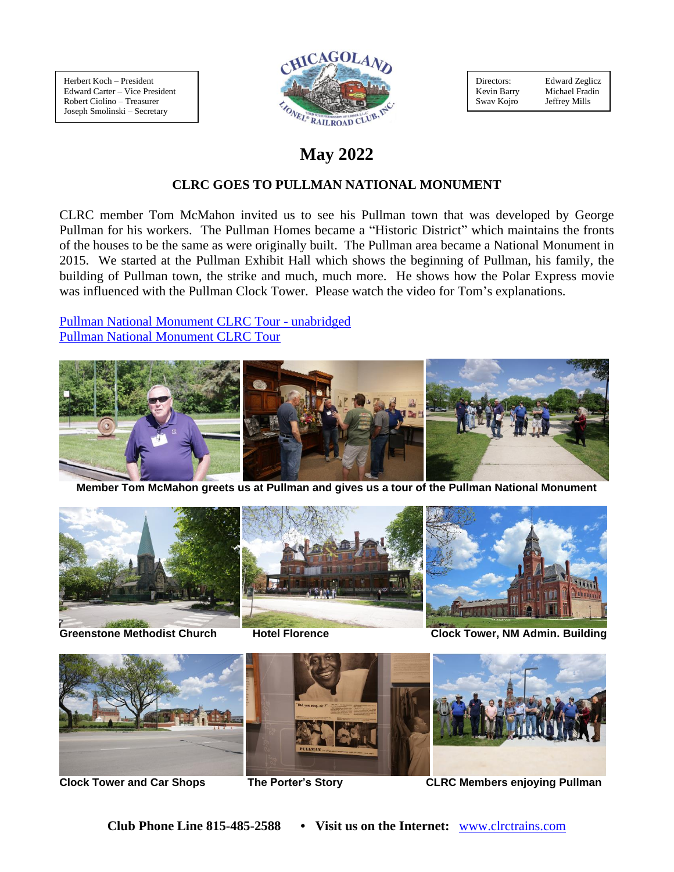Herbert Koch – President Edward Carter – Vice President Robert Ciolino – Treasurer Joseph Smolinski – Secretary



Directors: Edward Zeglicz Kevin Barry Michael Fradin<br>Swav Kojro Jeffrey Mills Swav Kojro

# **May 2022**

# **CLRC GOES TO PULLMAN NATIONAL MONUMENT**

CLRC member Tom McMahon invited us to see his Pullman town that was developed by George Pullman for his workers. The Pullman Homes became a "Historic District" which maintains the fronts of the houses to be the same as were originally built. The Pullman area became a National Monument in 2015. We started at the Pullman Exhibit Hall which shows the beginning of Pullman, his family, the building of Pullman town, the strike and much, much more. He shows how the Polar Express movie was influenced with the Pullman Clock Tower. Please watch the video for Tom's explanations.

Pullman [National Monument CLRC Tour -](https://www.youtube.com/watch?v=avJSniaEQDs) unabridged [Pullman National Monument CLRC Tour](https://www.youtube.com/watch?v=roghobK4GD8)



**Member Tom McMahon greets us at Pullman and gives us a tour of the Pullman National Monument**





**Greenstone Methodist Church Hotel Florence Clock Tower, NM Admin. Building**



**Clock Tower and Car Shops The Porter's Story CLRC Members enjoying Pullman**

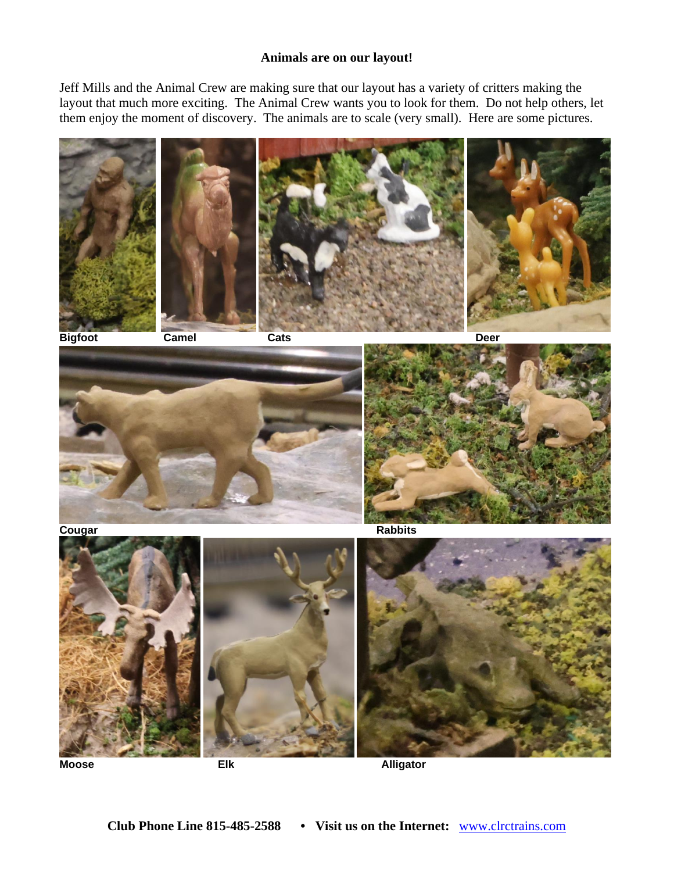#### **Animals are on our layout!**

Jeff Mills and the Animal Crew are making sure that our layout has a variety of critters making the layout that much more exciting. The Animal Crew wants you to look for them. Do not help others, let them enjoy the moment of discovery. The animals are to scale (very small). Here are some pictures.



**Moose Elk Alligator**

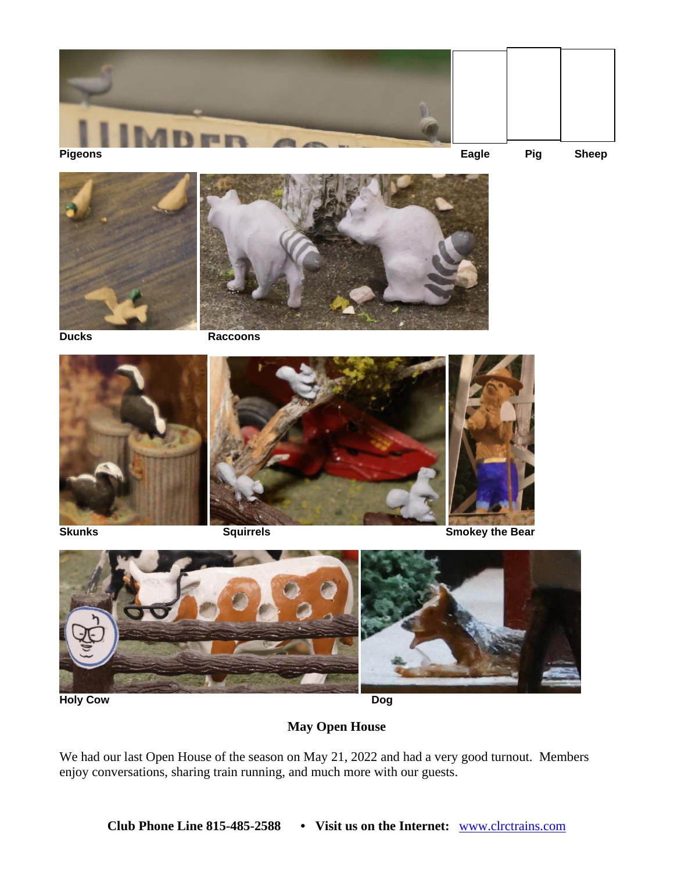



**Ducks Raccoons**





**May Open House**

We had our last Open House of the season on May 21, 2022 and had a very good turnout. Members enjoy conversations, sharing train running, and much more with our guests.